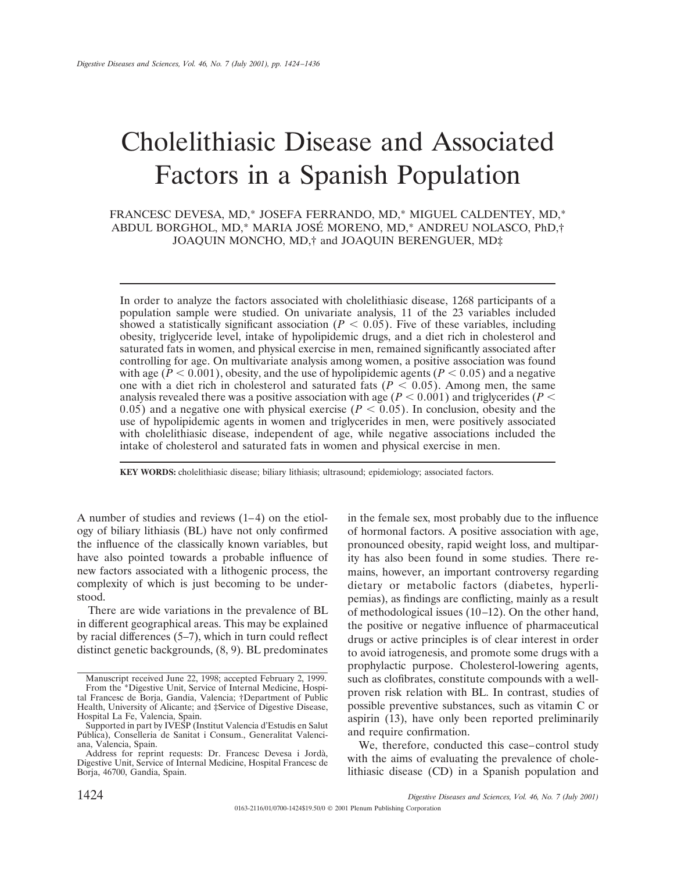# Cholelithiasic Disease and Associated Factors in a Spanish Population

FRANCESC DEVESA, MD,\* JOSEFA FERRANDO, MD,\* MIGUEL CALDENTEY, MD,\* ABDUL BORGHOL, MD,\* MARIA JOSÉ MORENO, MD,\* ANDREU NOLASCO, PhD,† JOAQUIN MONCHO, MD,† and JOAQUIN BERENGUER, MD‡

In order to analyze the factors associated with cholelithiasic disease, 1268 participants of a population sample were studied. On univariate analysis, 11 of the 23 variables included showed a statistically significant association ( $P < 0.05$ ). Five of these variables, including obesity, triglyceride level, intake of hypolipidemic drugs, and a diet rich in cholesterol and saturated fats in women, and physical exercise in men, remained significantly associated after controlling for age. On multivariate analysis among women, a positive association was found with age ( $P < 0.001$ ), obesity, and the use of hypolipidemic agents ( $P < 0.05$ ) and a negative one with a diet rich in cholesterol and saturated fats  $(P < 0.05)$ . Among men, the same analysis revealed there was a positive association with age ( $P < 0.001$ ) and triglycerides ( $P <$ 0.05) and a negative one with physical exercise  $(P < 0.05)$ . In conclusion, obesity and the use of hypolipidemic agents in women and triglycerides in men, were positively associated with cholelithiasic disease, independent of age, while negative associations included the intake of cholesterol and saturated fats in women and physical exercise in men.

**KEY WORDS:** cholelithiasic disease; biliary lithiasis; ultrasound; epidemiology; associated factors.

A number of studies and reviews (1–4) on the etiology of biliary lithiasis (BL) have not only confirmed the influence of the classically known variables, but have also pointed towards a probable influence of new factors associated with a lithogenic process, the complexity of which is just becoming to be understood.

There are wide variations in the prevalence of BL in different geographical areas. This may be explained by racial differences (5–7), which in turn could reflect distinct genetic backgrounds, (8, 9). BL predominates

in the female sex, most probably due to the influence of hormonal factors. A positive association with age, pronounced obesity, rapid weight loss, and multiparity has also been found in some studies. There remains, however, an important controversy regarding dietary or metabolic factors (diabetes, hyperlipemias), as findings are conflicting, mainly as a result of methodological issues (10–12). On the other hand, the positive or negative influence of pharmaceutical drugs or active principles is of clear interest in order to avoid iatrogenesis, and promote some drugs with a prophylactic purpose. Cholesterol-lowering agents, such as clofibrates, constitute compounds with a wellproven risk relation with BL. In contrast, studies of possible preventive substances, such as vitamin C or aspirin (13), have only been reported preliminarily and require confirmation.

We, therefore, conducted this case–control study with the aims of evaluating the prevalence of cholelithiasic disease (CD) in a Spanish population and

Manuscript received June 22, 1998; accepted February 2, 1999. From the \*Digestive Unit, Service of Internal Medicine, Hospital Francesc de Borja, Gandia, Valencia; †Department of Public Health, University of Alicante; and ‡Service of Digestive Disease, Hospital La Fe, Valencia, Spain.

Supported in part by IVESP (Institut Valencia d'Estudis en Salut Pu´blica), Conselleria de Sanitat i Consum., Generalitat Valenciana, Valencia, Spain.

Address for reprint requests: Dr. Francesc Devesa i Jorda`, Digestive Unit, Service of Internal Medicine, Hospital Francesc de Borja, 46700, Gandia, Spain.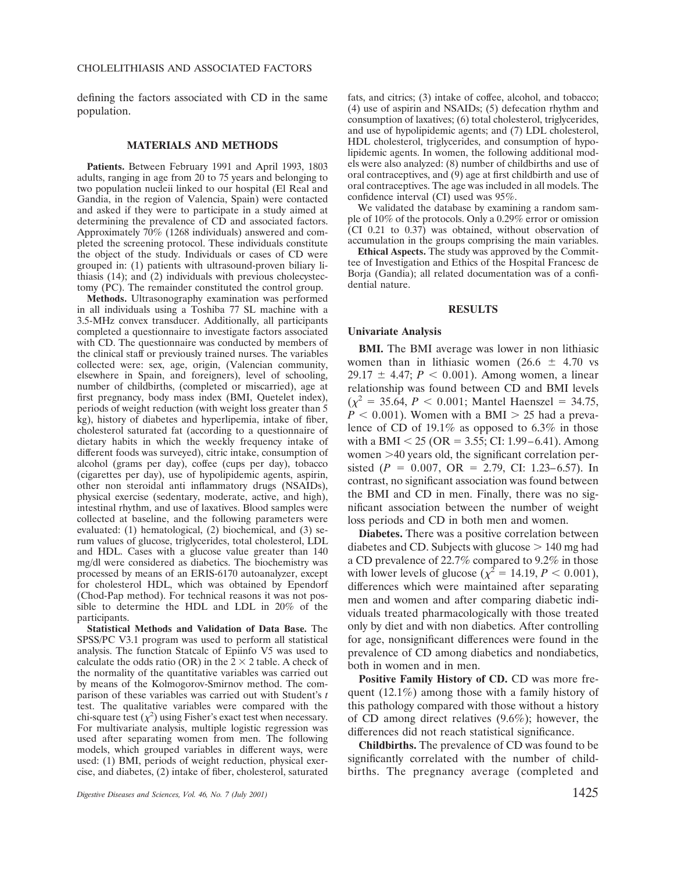defining the factors associated with CD in the same population.

#### **MATERIALS AND METHODS**

**Patients.** Between February 1991 and April 1993, 1803 adults, ranging in age from 20 to 75 years and belonging to two population nucleii linked to our hospital (El Real and Gandia, in the region of Valencia, Spain) were contacted and asked if they were to participate in a study aimed at determining the prevalence of CD and associated factors. Approximately 70% (1268 individuals) answered and completed the screening protocol. These individuals constitute the object of the study. Individuals or cases of CD were grouped in: (1) patients with ultrasound-proven biliary lithiasis (14); and (2) individuals with previous cholecystectomy (PC). The remainder constituted the control group.

**Methods.** Ultrasonography examination was performed in all individuals using a Toshiba 77 SL machine with a 3.5-MHz convex transducer. Additionally, all participants completed a questionnaire to investigate factors associated with CD. The questionnaire was conducted by members of the clinical staff or previously trained nurses. The variables collected were: sex, age, origin, (Valencian community, elsewhere in Spain, and foreigners), level of schooling, number of childbirths, (completed or miscarried), age at first pregnancy, body mass index (BMI, Quetelet index), periods of weight reduction (with weight loss greater than 5 kg), history of diabetes and hyperlipemia, intake of fiber, cholesterol saturated fat (according to a questionnaire of dietary habits in which the weekly frequency intake of different foods was surveyed), citric intake, consumption of alcohol (grams per day), coffee (cups per day), tobacco (cigarettes per day), use of hypolipidemic agents, aspirin, other non steroidal anti inflammatory drugs (NSAIDs), physical exercise (sedentary, moderate, active, and high), intestinal rhythm, and use of laxatives. Blood samples were collected at baseline, and the following parameters were evaluated: (1) hematological, (2) biochemical, and (3) serum values of glucose, triglycerides, total cholesterol, LDL and HDL. Cases with a glucose value greater than 140 mg/dl were considered as diabetics. The biochemistry was processed by means of an ERIS-6170 autoanalyzer, except for cholesterol HDL, which was obtained by Ependorf (Chod-Pap method). For technical reasons it was not possible to determine the HDL and LDL in 20% of the participants.

**Statistical Methods and Validation of Data Base.** The SPSS/PC V3.1 program was used to perform all statistical analysis. The function Statcalc of Epiinfo V5 was used to calculate the odds ratio (OR) in the  $2 \times 2$  table. A check of the normality of the quantitative variables was carried out by means of the Kolmogorov-Smirnov method. The comparison of these variables was carried out with Student's *t* test. The qualitative variables were compared with the chi-square test  $(\chi^2)$  using Fisher's exact test when necessary. For multivariate analysis, multiple logistic regression was used after separating women from men. The following models, which grouped variables in different ways, were used: (1) BMI, periods of weight reduction, physical exercise, and diabetes, (2) intake of fiber, cholesterol, saturated

fats, and citrics; (3) intake of coffee, alcohol, and tobacco; (4) use of aspirin and NSAIDs; (5) defecation rhythm and consumption of laxatives; (6) total cholesterol, triglycerides, and use of hypolipidemic agents; and (7) LDL cholesterol, HDL cholesterol, triglycerides, and consumption of hypolipidemic agents. In women, the following additional models were also analyzed: (8) number of childbirths and use of oral contraceptives, and (9) age at first childbirth and use of oral contraceptives. The age was included in all models. The confidence interval (CI) used was 95%.

We validated the database by examining a random sample of 10% of the protocols. Only a 0.29% error or omission  $\overline{C}$ (CI 0.21 to 0.37) was obtained, without observation of accumulation in the groups comprising the main variables.

**Ethical Aspects.** The study was approved by the Committee of Investigation and Ethics of the Hospital Francesc de Borja (Gandia); all related documentation was of a confidential nature.

## **RESULTS**

## **Univariate Analysis**

**BMI.** The BMI average was lower in non lithiasic women than in lithiasic women  $(26.6 \pm 4.70 \text{ vs }$ 29.17  $\pm$  4.47; *P* < 0.001). Among women, a linear relationship was found between CD and BMI levels  $(\chi^2 = 35.64, P < 0.001;$  Mantel Haenszel = 34.75,  $P < 0.001$ ). Women with a BMI  $> 25$  had a prevalence of CD of 19.1% as opposed to 6.3% in those with a BMI  $< 25$  (OR = 3.55; CI: 1.99–6.41). Among women  $>40$  years old, the significant correlation persisted  $(P = 0.007, \text{ OR } = 2.79, \text{ CI: } 1.23{\text -}6.57$ . In contrast, no significant association was found between the BMI and CD in men. Finally, there was no significant association between the number of weight loss periods and CD in both men and women.

**Diabetes.** There was a positive correlation between diabetes and CD. Subjects with glucose  $> 140$  mg had a CD prevalence of 22.7% compared to 9.2% in those with lower levels of glucose ( $\chi^2 = 14.19, P < 0.001$ ), differences which were maintained after separating men and women and after comparing diabetic individuals treated pharmacologically with those treated only by diet and with non diabetics. After controlling for age, nonsignificant differences were found in the prevalence of CD among diabetics and nondiabetics, both in women and in men.

**Positive Family History of CD.** CD was more frequent (12.1%) among those with a family history of this pathology compared with those without a history of CD among direct relatives (9.6%); however, the differences did not reach statistical significance.

**Childbirths.** The prevalence of CD was found to be significantly correlated with the number of childbirths. The pregnancy average (completed and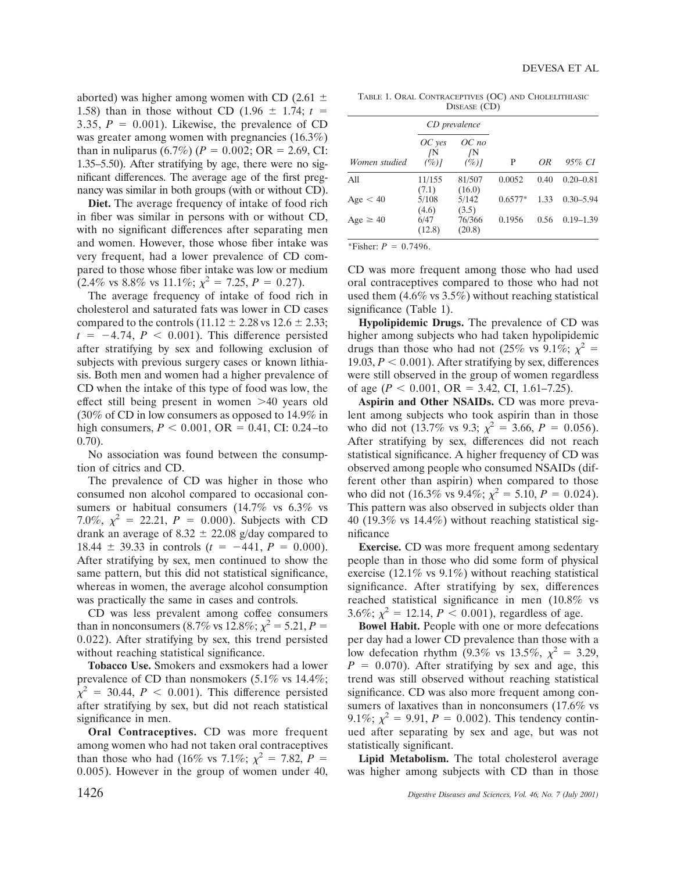aborted) was higher among women with CD (2.61  $\pm$ 1.58) than in those without CD  $(1.96 \pm 1.74; t =$ 3.35,  $P = 0.001$ ). Likewise, the prevalence of CD was greater among women with pregnancies (16.3%) than in nuliparus (6.7%) ( $P = 0.002$ ; OR = 2.69, CI: 1.35–5.50). After stratifying by age, there were no significant differences. The average age of the first pregnancy was similar in both groups (with or without CD).

**Diet.** The average frequency of intake of food rich in fiber was similar in persons with or without CD, with no significant differences after separating men and women. However, those whose fiber intake was very frequent, had a lower prevalence of CD compared to those whose fiber intake was low or medium  $(2.4\% \text{ vs } 8.8\% \text{ vs } 11.1\%; \chi^2 = 7.25, P = 0.27).$ 

The average frequency of intake of food rich in cholesterol and saturated fats was lower in CD cases compared to the controls (11.12  $\pm$  2.28 vs 12.6  $\pm$  2.33;  $t = -4.74$ ,  $P < 0.001$ ). This difference persisted after stratifying by sex and following exclusion of subjects with previous surgery cases or known lithiasis. Both men and women had a higher prevalence of CD when the intake of this type of food was low, the effect still being present in women  $>40$  years old (30% of CD in low consumers as opposed to 14.9% in high consumers,  $P < 0.001$ , OR = 0.41, CI: 0.24–to 0.70).

No association was found between the consumption of citrics and CD.

The prevalence of CD was higher in those who consumed non alcohol compared to occasional consumers or habitual consumers (14.7% vs 6.3% vs 7.0%,  $\chi^2 = 22.21$ ,  $P = 0.000$ ). Subjects with CD drank an average of 8.32  $\pm$  22.08 g/day compared to 18.44  $\pm$  39.33 in controls ( $t = -441$ ,  $P = 0.000$ ). After stratifying by sex, men continued to show the same pattern, but this did not statistical significance, whereas in women, the average alcohol consumption was practically the same in cases and controls.

CD was less prevalent among coffee consumers than in nonconsumers (8.7% vs 12.8%;  $\chi^2 = 5.21, P =$ 0.022). After stratifying by sex, this trend persisted without reaching statistical significance.

**Tobacco Use.** Smokers and exsmokers had a lower prevalence of CD than nonsmokers (5.1% vs 14.4%;  $\chi^2$  = 30.44, *P* < 0.001). This difference persisted after stratifying by sex, but did not reach statistical significance in men.

**Oral Contraceptives.** CD was more frequent among women who had not taken oral contraceptives than those who had (16% vs 7.1%;  $\chi^2 = 7.82$ , *P* = 0.005). However in the group of women under 40,

TABLE 1. ORAL CONTRACEPTIVES (OC) AND CHOLELITHIASIC DISEASE (CD)

|               | CD prevalence           |                           |           |      |               |
|---------------|-------------------------|---------------------------|-----------|------|---------------|
| Women studied | OC yes<br>/Ν<br>(%)]    | $OC$ no<br>/Ν<br>(%)]     | P         | OR   | 95% CI        |
| All           | 11/155                  | 81/507                    | 0.0052    | 0.40 | $0.20 - 0.81$ |
| Age < 40      | (7.1)<br>5/108          | (16.0)<br>5/142           | $0.6577*$ | 1.33 | $0.30 - 5.94$ |
| Age $\geq 40$ | (4.6)<br>6/47<br>(12.8) | (3.5)<br>76/366<br>(20.8) | 0.1956    | 0.56 | $0.19 - 1.39$ |

\*Fisher:  $P = 0.7496$ .

CD was more frequent among those who had used oral contraceptives compared to those who had not used them (4.6% vs 3.5%) without reaching statistical significance (Table 1).

**Hypolipidemic Drugs.** The prevalence of CD was higher among subjects who had taken hypolipidemic drugs than those who had not (25% vs 9.1%;  $\chi^2$  = 19.03,  $P < 0.001$ ). After stratifying by sex, differences were still observed in the group of women regardless of age ( $P < 0.001$ , OR = 3.42, CI, 1.61–7.25).

**Aspirin and Other NSAIDs.** CD was more prevalent among subjects who took aspirin than in those who did not (13.7% vs 9.3;  $\chi^2 = 3.66$ ,  $P = 0.056$ ). After stratifying by sex, differences did not reach statistical significance. A higher frequency of CD was observed among people who consumed NSAIDs (different other than aspirin) when compared to those who did not (16.3% vs 9.4%;  $\chi^2 = 5.10$ ,  $P = 0.024$ ). This pattern was also observed in subjects older than 40 (19.3% vs 14.4%) without reaching statistical significance

**Exercise.** CD was more frequent among sedentary people than in those who did some form of physical exercise (12.1% vs 9.1%) without reaching statistical significance. After stratifying by sex, differences reached statistical significance in men (10.8% vs 3.6%;  $\chi^2 = 12.14, P < 0.001$ ), regardless of age.

**Bowel Habit.** People with one or more defecations per day had a lower CD prevalence than those with a low defecation rhythm (9.3% vs 13.5%,  $\chi^2 = 3.29$ ,  $P = 0.070$ . After stratifying by sex and age, this trend was still observed without reaching statistical significance. CD was also more frequent among consumers of laxatives than in nonconsumers (17.6% vs 9.1%;  $\chi^2 = 9.91$ ,  $P = 0.002$ ). This tendency continued after separating by sex and age, but was not statistically significant.

**Lipid Metabolism.** The total cholesterol average was higher among subjects with CD than in those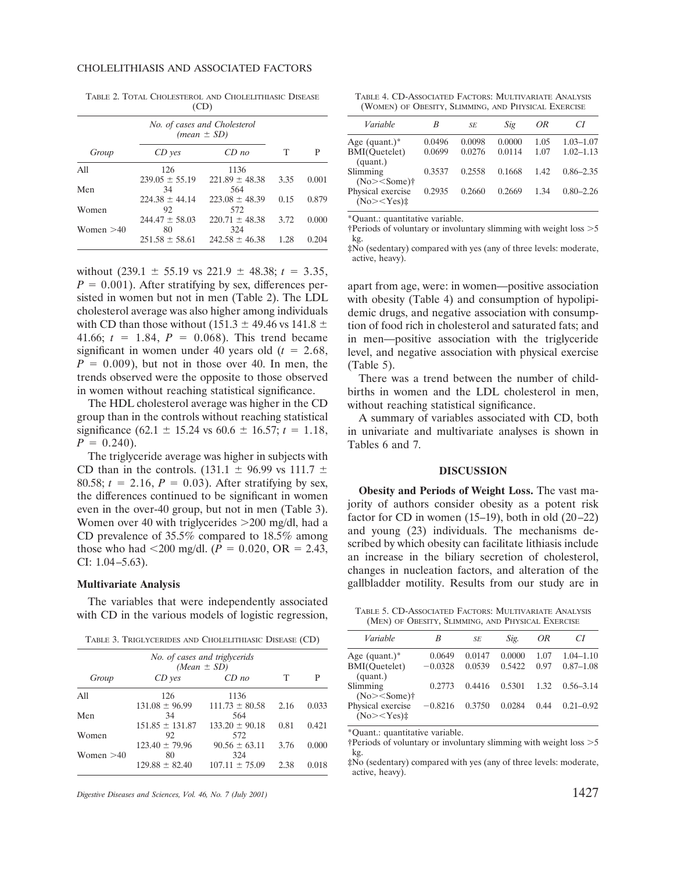## CHOLELITHIASIS AND ASSOCIATED FACTORS

TABLE 2. TOTAL CHOLESTEROL AND CHOLELITHIASIC DISEASE  $(CD)$ 

|             | No. of cases and Cholesterol<br>$(mean \pm SD)$ |                    |      |       |
|-------------|-------------------------------------------------|--------------------|------|-------|
| Group       | $CD$ yes                                        | $CD$ no            | т    |       |
| All         | 126                                             | 1136               |      |       |
|             | $239.05 \pm 55.19$                              | $221.89 \pm 48.38$ | 3.35 | 0.001 |
| Men         | 34                                              | 564                |      |       |
|             | $224.38 \pm 44.14$                              | $223.08 \pm 48.39$ | 0.15 | 0.879 |
| Women       | 92                                              | 572                |      |       |
|             | $244.47 \pm 58.03$                              | $220.71 \pm 48.38$ | 3.72 | 0.000 |
| Women $>40$ | 80                                              | 324                |      |       |
|             | $251.58 \pm 58.61$                              | $242.58 \pm 46.38$ | 1.28 | 0.204 |

without (239.1  $\pm$  55.19 vs 221.9  $\pm$  48.38; *t* = 3.35,  $P = 0.001$ ). After stratifying by sex, differences persisted in women but not in men (Table 2). The LDL cholesterol average was also higher among individuals with CD than those without (151.3  $\pm$  49.46 vs 141.8  $\pm$ 41.66;  $t = 1.84$ ,  $P = 0.068$ ). This trend became significant in women under 40 years old  $(t = 2.68,$  $P = 0.009$ ), but not in those over 40. In men, the trends observed were the opposite to those observed in women without reaching statistical significance.

The HDL cholesterol average was higher in the CD group than in the controls without reaching statistical significance (62.1  $\pm$  15.24 vs 60.6  $\pm$  16.57; *t* = 1.18,  $P = 0.240$ .

The triglyceride average was higher in subjects with CD than in the controls. (131.1  $\pm$  96.99 vs 111.7  $\pm$ 80.58;  $t = 2.16$ ,  $P = 0.03$ ). After stratifying by sex, the differences continued to be significant in women even in the over-40 group, but not in men (Table 3). Women over 40 with triglycerides  $>200$  mg/dl, had a CD prevalence of 35.5% compared to 18.5% among those who had  $\langle 200 \text{ mg/dl} \rangle$ . (*P* = 0.020, OR = 2.43, CI: 1.04–5.63).

## **Multivariate Analysis**

The variables that were independently associated with CD in the various models of logistic regression,

TABLE 3. TRIGLYCERIDES AND CHOLELITHIASIC DISEASE (CD)

| No. of cases and triglycerids<br>$(Mean \pm SD)$ |                     |                    |      |       |  |  |  |
|--------------------------------------------------|---------------------|--------------------|------|-------|--|--|--|
| Group                                            | $CD$ yes            | $CD$ no            | T    |       |  |  |  |
| All                                              | 126                 | 1136               |      |       |  |  |  |
|                                                  | $131.08 \pm 96.99$  | $111.73 \pm 80.58$ | 2.16 | 0.033 |  |  |  |
| Men                                              | 34                  | 564                |      |       |  |  |  |
|                                                  | $151.85 \pm 131.87$ | $133.20 \pm 90.18$ | 0.81 | 0.421 |  |  |  |
| Women                                            | 92                  | 572                |      |       |  |  |  |
|                                                  | $123.40 \pm 79.96$  | $90.56 \pm 63.11$  | 3.76 | 0.000 |  |  |  |
| Women $>40$                                      | 80                  | 324                |      |       |  |  |  |
|                                                  | $129.88 \pm 82.40$  | $107.11 \pm 75.09$ | 2.38 | 0.018 |  |  |  |

*Digestive Diseases and Sciences, Vol. 46, No. 7 (July 2001)* 1427

TABLE 4. CD-ASSOCIATED FACTORS: MULTIVARIATE ANALYSIS (WOMEN) OF OBESITY, SLIMMING, AND PHYSICAL EXERCISE

| Variable                     | B      | SE     | Sig    | OR   | СI            |
|------------------------------|--------|--------|--------|------|---------------|
| Age (quant.)*                | 0.0496 | 0.0098 | 0.0000 | 1.05 | $1.03 - 1.07$ |
| BMI(Quetelet)<br>(quant.)    | 0.0699 | 0.0276 | 0.0114 | 1.07 | $1.02 - 1.13$ |
| Slimming<br>$(No><$ Some)†   | 0.3537 | 0.2558 | 0.1668 | 1.42 | $0.86 - 2.35$ |
| Physical exercise<br>$(No>:$ | 0.2935 | 0.2660 | 0.2669 | 1.34 | $0.80 - 2.26$ |

\*Quant.: quantitative variable.

 $\dagger$ Periods of voluntary or involuntary slimming with weight loss  $>5$ kg.

‡No (sedentary) compared with yes (any of three levels: moderate, active, heavy).

apart from age, were: in women—positive association with obesity (Table 4) and consumption of hypolipidemic drugs, and negative association with consumption of food rich in cholesterol and saturated fats; and in men—positive association with the triglyceride level, and negative association with physical exercise (Table 5).

There was a trend between the number of childbirths in women and the LDL cholesterol in men, without reaching statistical significance.

A summary of variables associated with CD, both in univariate and multivariate analyses is shown in Tables 6 and 7.

#### **DISCUSSION**

**Obesity and Periods of Weight Loss.** The vast majority of authors consider obesity as a potent risk factor for CD in women  $(15-19)$ , both in old  $(20-22)$ and young (23) individuals. The mechanisms described by which obesity can facilitate lithiasis include an increase in the biliary secretion of cholesterol, changes in nucleation factors, and alteration of the gallbladder motility. Results from our study are in

TABLE 5. CD-ASSOCIATED FACTORS: MULTIVARIATE ANALYSIS (MEN) OF OBESITY, SLIMMING, AND PHYSICAL EXERCISE

| Variable                     | B         | SE     | Sig.   | OR   | СI            |
|------------------------------|-----------|--------|--------|------|---------------|
| Age (quant.)*                | 0.0649    | 0.0147 | 0.0000 | 1.07 | $1.04 - 1.10$ |
| BMI(Quetelet)<br>(quant.)    | $-0.0328$ | 0.0539 | 0.5422 | 0.97 | $0.87 - 1.08$ |
| Slimming<br>$(No><$ Some)†   | 0.2773    | 0.4416 | 0.5301 | 1.32 | $0.56 - 3.14$ |
| Physical exercise<br>$(No>:$ | $-0.8216$ | 0.3750 | 0.0284 | 0.44 | $0.21 - 0.92$ |

\*Quant.: quantitative variable.

†Periods of voluntary or involuntary slimming with weight loss .5 kg.

‡No (sedentary) compared with yes (any of three levels: moderate, active, heavy).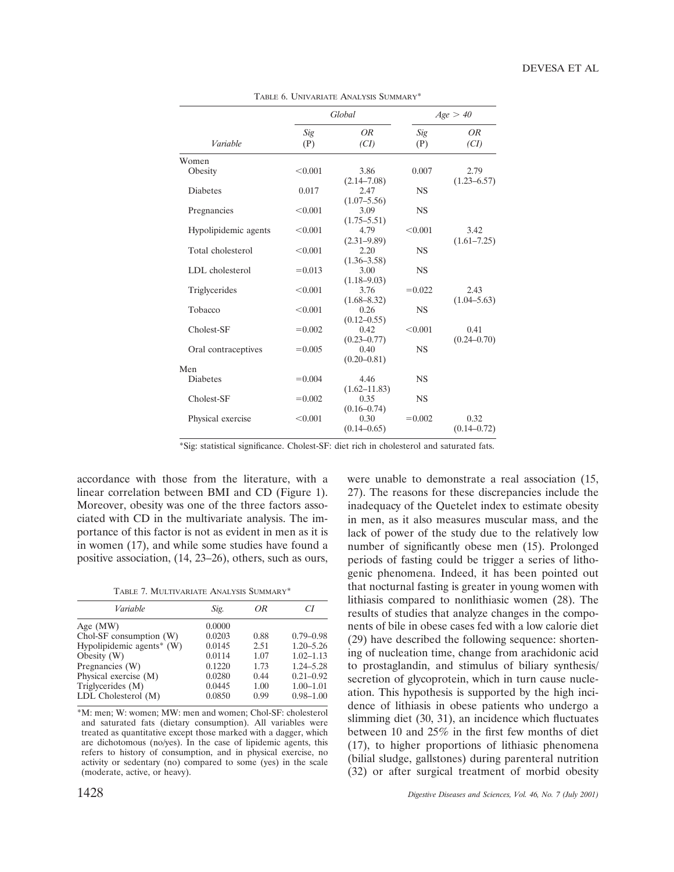|                      |            | Global                   |            | Age > 40                |
|----------------------|------------|--------------------------|------------|-------------------------|
| Variable             | Sig<br>(P) | <i>OR</i><br>(CI)        | Sig<br>(P) | <i>OR</i><br>(CI)       |
| Women                |            |                          |            |                         |
| Obesity              | < 0.001    | 3.86<br>$(2.14 - 7.08)$  | 0.007      | 2.79<br>$(1.23 - 6.57)$ |
| <b>Diabetes</b>      | 0.017      | 2.47<br>$(1.07 - 5.56)$  | <b>NS</b>  |                         |
| Pregnancies          | < 0.001    | 3.09<br>$(1.75 - 5.51)$  | <b>NS</b>  |                         |
| Hypolipidemic agents | < 0.001    | 4.79<br>$(2.31 - 9.89)$  | < 0.001    | 3.42<br>$(1.61 - 7.25)$ |
| Total cholesterol    | < 0.001    | 2.20<br>$(1.36 - 3.58)$  | <b>NS</b>  |                         |
| LDL cholesterol      | $= 0.013$  | 3.00<br>$(1.18 - 9.03)$  | <b>NS</b>  |                         |
| Triglycerides        | < 0.001    | 3.76<br>$(1.68 - 8.32)$  | $=0.022$   | 2.43<br>$(1.04 - 5.63)$ |
| Tobacco              | < 0.001    | 0.26<br>$(0.12 - 0.55)$  | <b>NS</b>  |                         |
| Cholest-SF           | $= 0.002$  | 0.42<br>$(0.23 - 0.77)$  | < 0.001    | 0.41<br>$(0.24 - 0.70)$ |
| Oral contraceptives  | $= 0.005$  | 0.40<br>$(0.20 - 0.81)$  | <b>NS</b>  |                         |
| Men                  |            |                          |            |                         |
| <b>Diabetes</b>      | $= 0.004$  | 4.46<br>$(1.62 - 11.83)$ | <b>NS</b>  |                         |
| Cholest-SF           | $= 0.002$  | 0.35<br>$(0.16 - 0.74)$  | <b>NS</b>  |                         |
| Physical exercise    | < 0.001    | 0.30<br>$(0.14 - 0.65)$  | $= 0.002$  | 0.32<br>$(0.14 - 0.72)$ |

TABLE 6. UNIVARIATE ANALYSIS SUMMARY\*

\*Sig: statistical significance. Cholest-SF: diet rich in cholesterol and saturated fats.

accordance with those from the literature, with a linear correlation between BMI and CD (Figure 1). Moreover, obesity was one of the three factors associated with CD in the multivariate analysis. The importance of this factor is not as evident in men as it is in women (17), and while some studies have found a positive association, (14, 23–26), others, such as ours,

TABLE 7. MULTIVARIATE ANALYSIS SUMMARY\*

| Variable                    | Sig.   | ΟR   | C.I           |
|-----------------------------|--------|------|---------------|
| Age $(MW)$                  | 0.0000 |      |               |
| Chol-SF consumption $(W)$   | 0.0203 | 0.88 | $0.79 - 0.98$ |
| Hypolipidemic agents* $(W)$ | 0.0145 | 2.51 | $1.20 - 5.26$ |
| Obesity (W)                 | 0.0114 | 1.07 | $1.02 - 1.13$ |
| Pregnancies (W)             | 0.1220 | 1.73 | $1.24 - 5.28$ |
| Physical exercise (M)       | 0.0280 | 0.44 | $0.21 - 0.92$ |
| Triglycerides (M)           | 0.0445 | 1.00 | $1.00 - 1.01$ |
| LDL Cholesterol (M)         | 0.0850 | 0.99 | $0.98 - 1.00$ |

<sup>\*</sup>M: men; W: women; MW: men and women; Chol-SF: cholesterol and saturated fats (dietary consumption). All variables were treated as quantitative except those marked with a dagger, which are dichotomous (no/yes). In the case of lipidemic agents, this refers to history of consumption, and in physical exercise, no activity or sedentary (no) compared to some (yes) in the scale (moderate, active, or heavy).

were unable to demonstrate a real association (15, 27). The reasons for these discrepancies include the inadequacy of the Quetelet index to estimate obesity in men, as it also measures muscular mass, and the lack of power of the study due to the relatively low number of significantly obese men (15). Prolonged periods of fasting could be trigger a series of lithogenic phenomena. Indeed, it has been pointed out that nocturnal fasting is greater in young women with lithiasis compared to nonlithiasic women (28). The results of studies that analyze changes in the components of bile in obese cases fed with a low calorie diet (29) have described the following sequence: shortening of nucleation time, change from arachidonic acid to prostaglandin, and stimulus of biliary synthesis/ secretion of glycoprotein, which in turn cause nucleation. This hypothesis is supported by the high incidence of lithiasis in obese patients who undergo a slimming diet (30, 31), an incidence which fluctuates between 10 and 25% in the first few months of diet (17), to higher proportions of lithiasic phenomena (bilial sludge, gallstones) during parenteral nutrition (32) or after surgical treatment of morbid obesity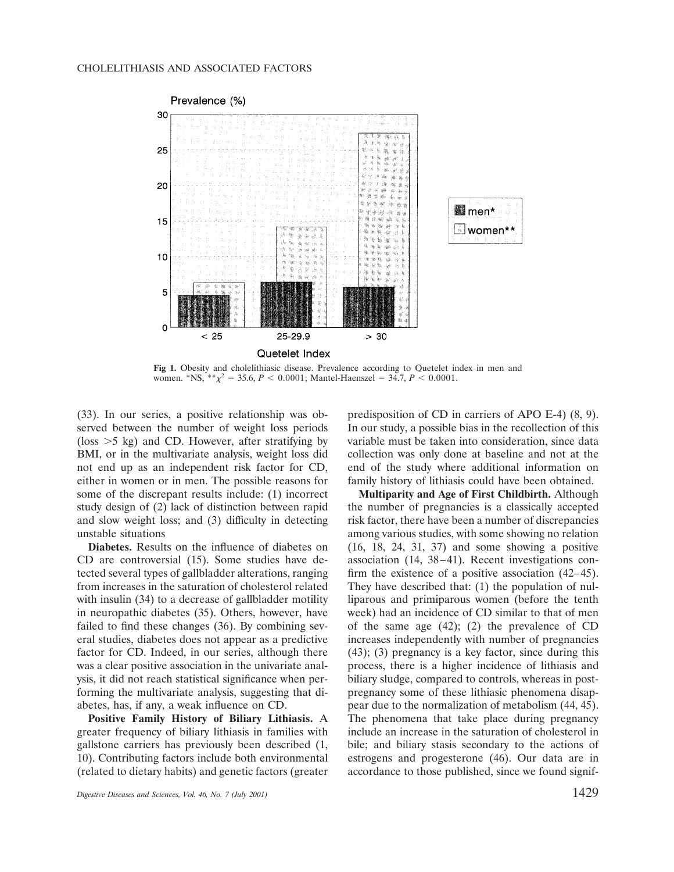

**Fig 1.** Obesity and cholelithiasic disease. Prevalence according to Quetelet index in men and women. \*NS, \*\* $\chi^2$  = 35.6, *P* < 0.0001; Mantel-Haenszel = 34.7, *P* < 0.0001.

(33). In our series, a positive relationship was observed between the number of weight loss periods (loss  $>5$  kg) and CD. However, after stratifying by BMI, or in the multivariate analysis, weight loss did not end up as an independent risk factor for CD, either in women or in men. The possible reasons for some of the discrepant results include: (1) incorrect study design of (2) lack of distinction between rapid and slow weight loss; and (3) difficulty in detecting unstable situations

**Diabetes.** Results on the influence of diabetes on CD are controversial (15). Some studies have detected several types of gallbladder alterations, ranging from increases in the saturation of cholesterol related with insulin (34) to a decrease of gallbladder motility in neuropathic diabetes (35). Others, however, have failed to find these changes (36). By combining several studies, diabetes does not appear as a predictive factor for CD. Indeed, in our series, although there was a clear positive association in the univariate analysis, it did not reach statistical significance when performing the multivariate analysis, suggesting that diabetes, has, if any, a weak influence on CD.

**Positive Family History of Biliary Lithiasis.** A greater frequency of biliary lithiasis in families with gallstone carriers has previously been described (1, 10). Contributing factors include both environmental (related to dietary habits) and genetic factors (greater predisposition of CD in carriers of APO E-4) (8, 9). In our study, a possible bias in the recollection of this variable must be taken into consideration, since data collection was only done at baseline and not at the end of the study where additional information on family history of lithiasis could have been obtained.

**Multiparity and Age of First Childbirth.** Although the number of pregnancies is a classically accepted risk factor, there have been a number of discrepancies among various studies, with some showing no relation (16, 18, 24, 31, 37) and some showing a positive association (14, 38–41). Recent investigations confirm the existence of a positive association (42–45). They have described that: (1) the population of nulliparous and primiparous women (before the tenth week) had an incidence of CD similar to that of men of the same age (42); (2) the prevalence of CD increases independently with number of pregnancies (43); (3) pregnancy is a key factor, since during this process, there is a higher incidence of lithiasis and biliary sludge, compared to controls, whereas in postpregnancy some of these lithiasic phenomena disappear due to the normalization of metabolism (44, 45). The phenomena that take place during pregnancy include an increase in the saturation of cholesterol in bile; and biliary stasis secondary to the actions of estrogens and progesterone (46). Our data are in accordance to those published, since we found signif-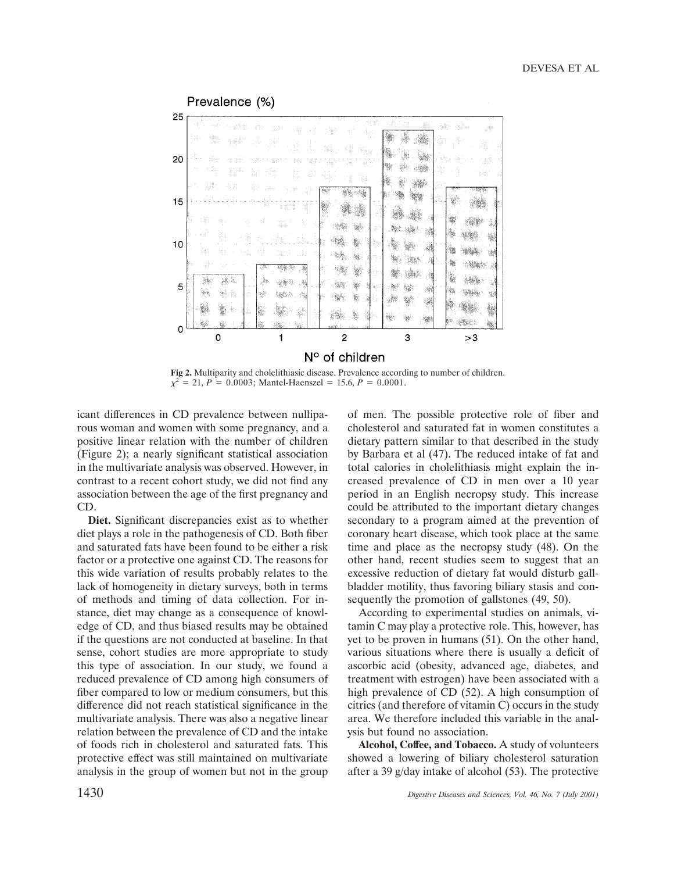## DEVESA ET AL



**Fig 2.** Multiparity and cholelithiasic disease. Prevalence according to number of children.  $\chi^2 = 21, P = 0.0003$ ; Mantel-Haenszel = 15.6, *P* = 0.0001.

icant differences in CD prevalence between nulliparous woman and women with some pregnancy, and a positive linear relation with the number of children (Figure 2); a nearly significant statistical association in the multivariate analysis was observed. However, in contrast to a recent cohort study, we did not find any association between the age of the first pregnancy and CD.

**Diet.** Significant discrepancies exist as to whether diet plays a role in the pathogenesis of CD. Both fiber and saturated fats have been found to be either a risk factor or a protective one against CD. The reasons for this wide variation of results probably relates to the lack of homogeneity in dietary surveys, both in terms of methods and timing of data collection. For instance, diet may change as a consequence of knowledge of CD, and thus biased results may be obtained if the questions are not conducted at baseline. In that sense, cohort studies are more appropriate to study this type of association. In our study, we found a reduced prevalence of CD among high consumers of fiber compared to low or medium consumers, but this difference did not reach statistical significance in the multivariate analysis. There was also a negative linear relation between the prevalence of CD and the intake of foods rich in cholesterol and saturated fats. This protective effect was still maintained on multivariate analysis in the group of women but not in the group of men. The possible protective role of fiber and cholesterol and saturated fat in women constitutes a dietary pattern similar to that described in the study by Barbara et al (47). The reduced intake of fat and total calories in cholelithiasis might explain the increased prevalence of CD in men over a 10 year period in an English necropsy study. This increase could be attributed to the important dietary changes secondary to a program aimed at the prevention of coronary heart disease, which took place at the same time and place as the necropsy study (48). On the other hand, recent studies seem to suggest that an excessive reduction of dietary fat would disturb gallbladder motility, thus favoring biliary stasis and consequently the promotion of gallstones (49, 50).

According to experimental studies on animals, vitamin C may play a protective role. This, however, has yet to be proven in humans (51). On the other hand, various situations where there is usually a deficit of ascorbic acid (obesity, advanced age, diabetes, and treatment with estrogen) have been associated with a high prevalence of CD (52). A high consumption of citrics (and therefore of vitamin C) occurs in the study area. We therefore included this variable in the analysis but found no association.

**Alcohol, Coffee, and Tobacco.** A study of volunteers showed a lowering of biliary cholesterol saturation after a 39 g/day intake of alcohol (53). The protective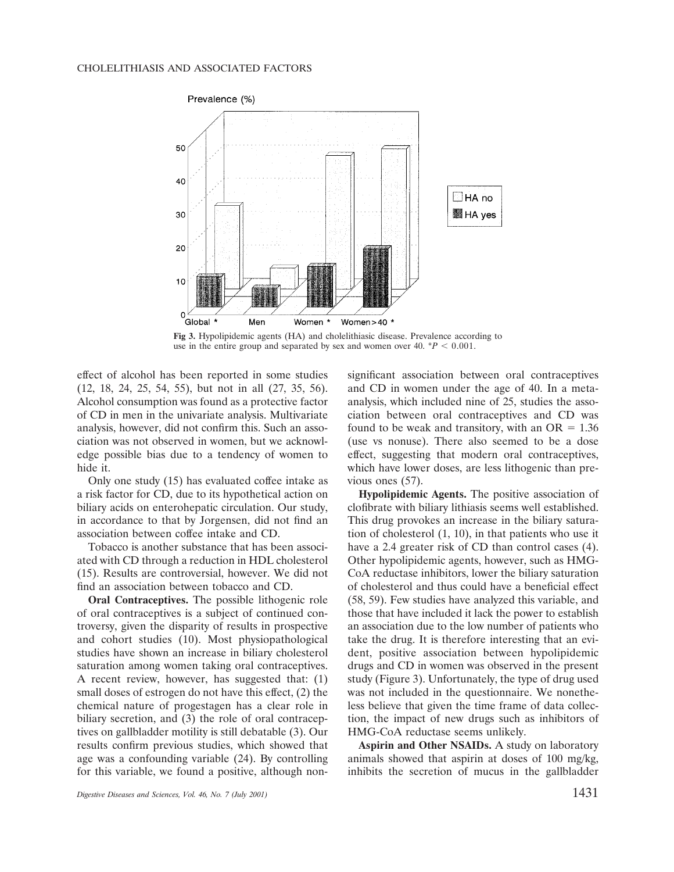

**Fig 3.** Hypolipidemic agents (HA) and cholelithiasic disease. Prevalence according to use in the entire group and separated by sex and women over  $40. *P < 0.001$ .

effect of alcohol has been reported in some studies (12, 18, 24, 25, 54, 55), but not in all (27, 35, 56). Alcohol consumption was found as a protective factor of CD in men in the univariate analysis. Multivariate analysis, however, did not confirm this. Such an association was not observed in women, but we acknowledge possible bias due to a tendency of women to hide it.

Only one study (15) has evaluated coffee intake as a risk factor for CD, due to its hypothetical action on biliary acids on enterohepatic circulation. Our study, in accordance to that by Jorgensen, did not find an association between coffee intake and CD.

Tobacco is another substance that has been associated with CD through a reduction in HDL cholesterol (15). Results are controversial, however. We did not find an association between tobacco and CD.

**Oral Contraceptives.** The possible lithogenic role of oral contraceptives is a subject of continued controversy, given the disparity of results in prospective and cohort studies (10). Most physiopathological studies have shown an increase in biliary cholesterol saturation among women taking oral contraceptives. A recent review, however, has suggested that: (1) small doses of estrogen do not have this effect, (2) the chemical nature of progestagen has a clear role in biliary secretion, and (3) the role of oral contraceptives on gallbladder motility is still debatable (3). Our results confirm previous studies, which showed that age was a confounding variable (24). By controlling for this variable, we found a positive, although nonsignificant association between oral contraceptives and CD in women under the age of 40. In a metaanalysis, which included nine of 25, studies the association between oral contraceptives and CD was found to be weak and transitory, with an  $OR = 1.36$ (use vs nonuse). There also seemed to be a dose effect, suggesting that modern oral contraceptives, which have lower doses, are less lithogenic than previous ones (57).

**Hypolipidemic Agents.** The positive association of clofibrate with biliary lithiasis seems well established. This drug provokes an increase in the biliary saturation of cholesterol (1, 10), in that patients who use it have a 2.4 greater risk of CD than control cases (4). Other hypolipidemic agents, however, such as HMG-CoA reductase inhibitors, lower the biliary saturation of cholesterol and thus could have a beneficial effect (58, 59). Few studies have analyzed this variable, and those that have included it lack the power to establish an association due to the low number of patients who take the drug. It is therefore interesting that an evident, positive association between hypolipidemic drugs and CD in women was observed in the present study (Figure 3). Unfortunately, the type of drug used was not included in the questionnaire. We nonetheless believe that given the time frame of data collection, the impact of new drugs such as inhibitors of HMG-CoA reductase seems unlikely.

**Aspirin and Other NSAIDs.** A study on laboratory animals showed that aspirin at doses of 100 mg/kg, inhibits the secretion of mucus in the gallbladder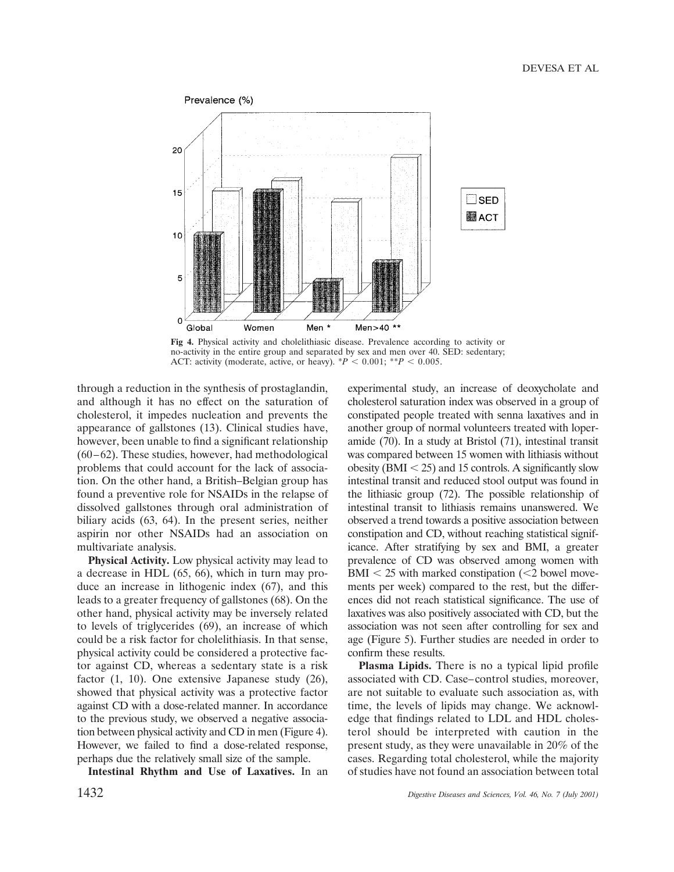

**Fig 4.** Physical activity and cholelithiasic disease. Prevalence according to activity or no-activity in the entire group and separated by sex and men over 40. SED: sedentary; ACT: activity (moderate, active, or heavy).  $*P < 0.001$ ;  $*P < 0.005$ .

through a reduction in the synthesis of prostaglandin, and although it has no effect on the saturation of cholesterol, it impedes nucleation and prevents the appearance of gallstones (13). Clinical studies have, however, been unable to find a significant relationship (60–62). These studies, however, had methodological problems that could account for the lack of association. On the other hand, a British–Belgian group has found a preventive role for NSAIDs in the relapse of dissolved gallstones through oral administration of biliary acids (63, 64). In the present series, neither aspirin nor other NSAIDs had an association on multivariate analysis.

**Physical Activity.** Low physical activity may lead to a decrease in HDL (65, 66), which in turn may produce an increase in lithogenic index (67), and this leads to a greater frequency of gallstones (68). On the other hand, physical activity may be inversely related to levels of triglycerides (69), an increase of which could be a risk factor for cholelithiasis. In that sense, physical activity could be considered a protective factor against CD, whereas a sedentary state is a risk factor (1, 10). One extensive Japanese study (26), showed that physical activity was a protective factor against CD with a dose-related manner. In accordance to the previous study, we observed a negative association between physical activity and CD in men (Figure 4). However, we failed to find a dose-related response, perhaps due the relatively small size of the sample.

**Intestinal Rhythm and Use of Laxatives.** In an

experimental study, an increase of deoxycholate and cholesterol saturation index was observed in a group of constipated people treated with senna laxatives and in another group of normal volunteers treated with loperamide (70). In a study at Bristol (71), intestinal transit was compared between 15 women with lithiasis without obesity (BMI  $<$  25) and 15 controls. A significantly slow intestinal transit and reduced stool output was found in the lithiasic group (72). The possible relationship of intestinal transit to lithiasis remains unanswered. We observed a trend towards a positive association between constipation and CD, without reaching statistical significance. After stratifying by sex and BMI, a greater prevalence of CD was observed among women with  $BMI < 25$  with marked constipation ( $<$ 2 bowel movements per week) compared to the rest, but the differences did not reach statistical significance. The use of laxatives was also positively associated with CD, but the association was not seen after controlling for sex and age (Figure 5). Further studies are needed in order to confirm these results.

**Plasma Lipids.** There is no a typical lipid profile associated with CD. Case–control studies, moreover, are not suitable to evaluate such association as, with time, the levels of lipids may change. We acknowledge that findings related to LDL and HDL cholesterol should be interpreted with caution in the present study, as they were unavailable in 20% of the cases. Regarding total cholesterol, while the majority of studies have not found an association between total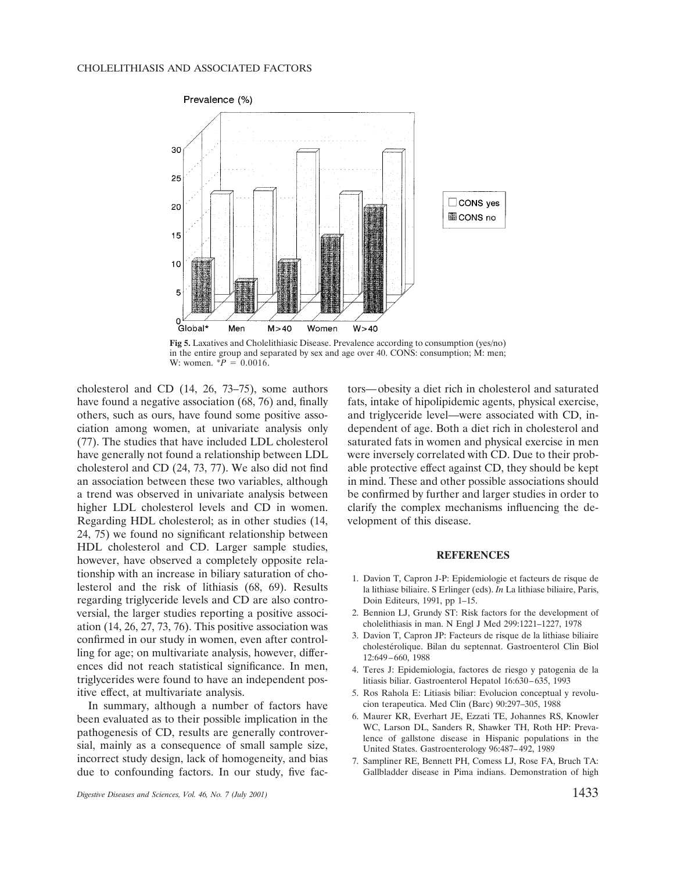



cholesterol and CD (14, 26, 73–75), some authors have found a negative association (68, 76) and, finally others, such as ours, have found some positive association among women, at univariate analysis only (77). The studies that have included LDL cholesterol have generally not found a relationship between LDL cholesterol and CD (24, 73, 77). We also did not find an association between these two variables, although a trend was observed in univariate analysis between higher LDL cholesterol levels and CD in women. Regarding HDL cholesterol; as in other studies (14, 24, 75) we found no significant relationship between HDL cholesterol and CD. Larger sample studies, however, have observed a completely opposite relationship with an increase in biliary saturation of cholesterol and the risk of lithiasis (68, 69). Results regarding triglyceride levels and CD are also controversial, the larger studies reporting a positive association (14, 26, 27, 73, 76). This positive association was confirmed in our study in women, even after controlling for age; on multivariate analysis, however, differences did not reach statistical significance. In men, triglycerides were found to have an independent positive effect, at multivariate analysis.

In summary, although a number of factors have been evaluated as to their possible implication in the pathogenesis of CD, results are generally controversial, mainly as a consequence of small sample size, incorrect study design, lack of homogeneity, and bias due to confounding factors. In our study, five factors—obesity a diet rich in cholesterol and saturated fats, intake of hipolipidemic agents, physical exercise, and triglyceride level—were associated with CD, independent of age. Both a diet rich in cholesterol and saturated fats in women and physical exercise in men were inversely correlated with CD. Due to their probable protective effect against CD, they should be kept in mind. These and other possible associations should be confirmed by further and larger studies in order to clarify the complex mechanisms influencing the development of this disease.

#### **REFERENCES**

- 1. Davion T, Capron J-P: Epidemiologie et facteurs de risque de la lithiase biliaire. S Erlinger (eds). *In* La lithiase biliaire, Paris, Doin Editeurs, 1991, pp 1–15.
- 2. Bennion LJ, Grundy ST: Risk factors for the development of cholelithiasis in man. N Engl J Med 299:1221–1227, 1978
- 3. Davion T, Capron JP: Facteurs de risque de la lithiase biliaire cholestérolique. Bilan du septennat. Gastroenterol Clin Biol 12:649–660, 1988
- 4. Teres J: Epidemiologia, factores de riesgo y patogenia de la litiasis biliar. Gastroenterol Hepatol 16:630–635, 1993
- 5. Ros Rahola E: Litiasis biliar: Evolucion conceptual y revolucion terapeutica. Med Clin (Barc) 90:297–305, 1988
- 6. Maurer KR, Everhart JE, Ezzati TE, Johannes RS, Knowler WC, Larson DL, Sanders R, Shawker TH, Roth HP: Prevalence of gallstone disease in Hispanic populations in the United States. Gastroenterology 96:487–492, 1989
- 7. Sampliner RE, Bennett PH, Comess LJ, Rose FA, Bruch TA: Gallbladder disease in Pima indians. Demonstration of high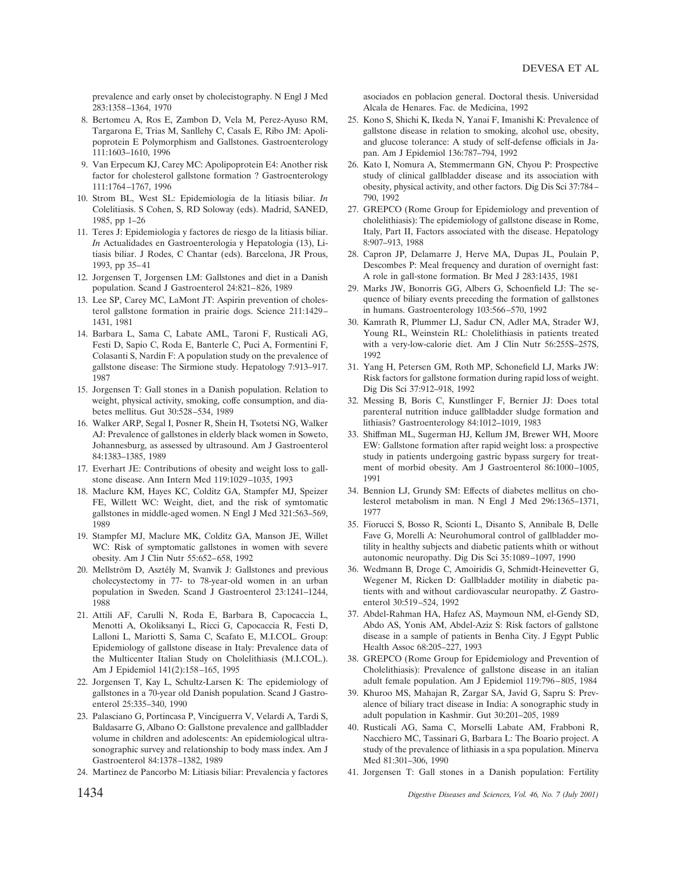prevalence and early onset by cholecistography. N Engl J Med 283:1358–1364, 1970

- 8. Bertomeu A, Ros E, Zambon D, Vela M, Perez-Ayuso RM, Targarona E, Trias M, Sanllehy C, Casals E, Ribo JM: Apolipoprotein E Polymorphism and Gallstones. Gastroenterology 111:1603–1610, 1996
- 9. Van Erpecum KJ, Carey MC: Apolipoprotein E4: Another risk factor for cholesterol gallstone formation ? Gastroenterology 111:1764–1767, 1996
- 10. Strom BL, West SL: Epidemiologia de la litiasis biliar. *In* Colelitiasis. S Cohen, S, RD Soloway (eds). Madrid, SANED, 1985, pp 1–26
- 11. Teres J: Epidemiologia y factores de riesgo de la litiasis biliar. *In* Actualidades en Gastroenterologia y Hepatologia (13), Litiasis biliar. J Rodes, C Chantar (eds). Barcelona, JR Prous, 1993, pp 35–41
- 12. Jorgensen T, Jorgensen LM: Gallstones and diet in a Danish population. Scand J Gastroenterol 24:821–826, 1989
- 13. Lee SP, Carey MC, LaMont JT: Aspirin prevention of cholesterol gallstone formation in prairie dogs. Science 211:1429– 1431, 1981
- 14. Barbara L, Sama C, Labate AML, Taroni F, Rusticali AG, Festi D, Sapio C, Roda E, Banterle C, Puci A, Formentini F, Colasanti S, Nardin F: A population study on the prevalence of gallstone disease: The Sirmione study. Hepatology 7:913–917. 1987
- 15. Jorgensen T: Gall stones in a Danish population. Relation to weight, physical activity, smoking, coffe consumption, and diabetes mellitus. Gut 30:528–534, 1989
- 16. Walker ARP, Segal I, Posner R, Shein H, Tsotetsi NG, Walker AJ: Prevalence of gallstones in elderly black women in Soweto, Johannesburg, as assessed by ultrasound. Am J Gastroenterol 84:1383–1385, 1989
- 17. Everhart JE: Contributions of obesity and weight loss to gallstone disease. Ann Intern Med 119:1029–1035, 1993
- 18. Maclure KM, Hayes KC, Colditz GA, Stampfer MJ, Speizer FE, Willett WC: Weight, diet, and the risk of symtomatic gallstones in middle-aged women. N Engl J Med 321:563–569, 1989
- 19. Stampfer MJ, Maclure MK, Colditz GA, Manson JE, Willet WC: Risk of symptomatic gallstones in women with severe obesity. Am J Clin Nutr 55:652–658, 1992
- 20. Mellström D, Asztély M, Svanvik J: Gallstones and previous cholecystectomy in 77- to 78-year-old women in an urban population in Sweden. Scand J Gastroenterol 23:1241–1244, 1988
- 21. Attili AF, Carulli N, Roda E, Barbara B, Capocaccia L, Menotti A, Okoliksanyi L, Ricci G, Capocaccia R, Festi D, Lalloni L, Mariotti S, Sama C, Scafato E, M.I.COL. Group: Epidemiology of gallstone disease in Italy: Prevalence data of the Multicenter Italian Study on Cholelithiasis (M.I.COL.). Am J Epidemiol 141(2):158–165, 1995
- 22. Jorgensen T, Kay L, Schultz-Larsen K: The epidemiology of gallstones in a 70-year old Danish population. Scand J Gastroenterol 25:335–340, 1990
- 23. Palasciano G, Portincasa P, Vinciguerra V, Velardi A, Tardi S, Baldasarre G, Albano O: Gallstone prevalence and gallbladder volume in children and adolescents: An epidemiological ultrasonographic survey and relationship to body mass index. Am J Gastroenterol 84:1378–1382, 1989
- 24. Martinez de Pancorbo M: Litiasis biliar: Prevalencia y factores

asociados en poblacion general. Doctoral thesis. Universidad Alcala de Henares. Fac. de Medicina, 1992

- 25. Kono S, Shichi K, Ikeda N, Yanai F, Imanishi K: Prevalence of gallstone disease in relation to smoking, alcohol use, obesity, and glucose tolerance: A study of self-defense officials in Japan. Am J Epidemiol 136:787–794, 1992
- 26. Kato I, Nomura A, Stemmermann GN, Chyou P: Prospective study of clinical gallbladder disease and its association with obesity, physical activity, and other factors. Dig Dis Sci 37:784– 790, 1992
- 27. GREPCO (Rome Group for Epidemiology and prevention of cholelithiasis): The epidemiology of gallstone disease in Rome, Italy, Part II, Factors associated with the disease. Hepatology 8:907–913, 1988
- 28. Capron JP, Delamarre J, Herve MA, Dupas JL, Poulain P, Descombes P: Meal frequency and duration of overnight fast: A role in gall-stone formation. Br Med J 283:1435, 1981
- 29. Marks JW, Bonorris GG, Albers G, Schoenfield LJ: The sequence of biliary events preceding the formation of gallstones in humans. Gastroenterology 103:566–570, 1992
- 30. Kamrath R, Plummer LJ, Sadur CN, Adler MA, Strader WJ, Young RL, Weinstein RL: Cholelithiasis in patients treated with a very-low-calorie diet. Am J Clin Nutr 56:255S–257S, 1992
- 31. Yang H, Petersen GM, Roth MP, Schonefield LJ, Marks JW: Risk factors for gallstone formation during rapid loss of weight. Dig Dis Sci 37:912–918, 1992
- 32. Messing B, Boris C, Kunstlinger F, Bernier JJ: Does total parenteral nutrition induce gallbladder sludge formation and lithiasis? Gastroenterology 84:1012–1019, 1983
- 33. Shiffman ML, Sugerman HJ, Kellum JM, Brewer WH, Moore EW: Gallstone formation after rapid weight loss: a prospective study in patients undergoing gastric bypass surgery for treatment of morbid obesity. Am J Gastroenterol 86:1000–1005, 1991
- 34. Bennion LJ, Grundy SM: Effects of diabetes mellitus on cholesterol metabolism in man. N Engl J Med 296:1365–1371, 1977
- 35. Fiorucci S, Bosso R, Scionti L, Disanto S, Annibale B, Delle Fave G, Morelli A: Neurohumoral control of gallbladder motility in healthy subjects and diabetic patients whith or without autonomic neuropathy. Dig Dis Sci 35:1089–1097, 1990
- 36. Wedmann B, Droge C, Amoiridis G, Schmidt-Heinevetter G, Wegener M, Ricken D: Gallbladder motility in diabetic patients with and without cardiovascular neuropathy. Z Gastroenterol 30:519–524, 1992
- 37. Abdel-Rahman HA, Hafez AS, Maymoun NM, el-Gendy SD, Abdo AS, Yonis AM, Abdel-Aziz S: Risk factors of gallstone disease in a sample of patients in Benha City. J Egypt Public Health Assoc 68:205–227, 1993
- 38. GREPCO (Rome Group for Epidemiology and Prevention of Cholelithiasis): Prevalence of gallstone disease in an italian adult female population. Am J Epidemiol 119:796–805, 1984
- 39. Khuroo MS, Mahajan R, Zargar SA, Javid G, Sapru S: Prevalence of biliary tract disease in India: A sonographic study in adult population in Kashmir. Gut 30:201–205, 1989
- 40. Rusticali AG, Sama C, Morselli Labate AM, Frabboni R, Nacchiero MC, Tassinari G, Barbara L: The Boario project. A study of the prevalence of lithiasis in a spa population. Minerva Med 81:301–306, 1990
- 41. Jorgensen T: Gall stones in a Danish population: Fertility

1434 *Digestive Diseases and Sciences, Vol. 46, No. 7 (July 2001)*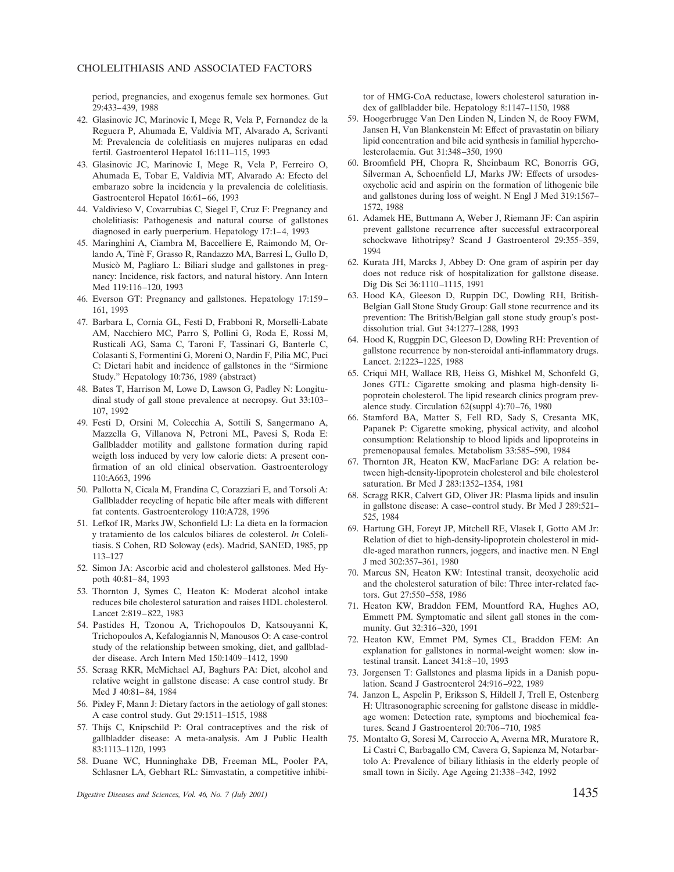period, pregnancies, and exogenus female sex hormones. Gut 29:433–439, 1988

- 42. Glasinovic JC, Marinovic I, Mege R, Vela P, Fernandez de la Reguera P, Ahumada E, Valdivia MT, Alvarado A, Scrivanti M: Prevalencia de colelitiasis en mujeres nuliparas en edad fertil. Gastroenterol Hepatol 16:111–115, 1993
- 43. Glasinovic JC, Marinovic I, Mege R, Vela P, Ferreiro O, Ahumada E, Tobar E, Valdivia MT, Alvarado A: Efecto del embarazo sobre la incidencia y la prevalencia de colelitiasis. Gastroenterol Hepatol 16:61–66, 1993
- 44. Valdivieso V, Covarrubias C, Siegel F, Cruz F: Pregnancy and cholelitiasis: Pathogenesis and natural course of gallstones diagnosed in early puerperium. Hepatology 17:1–4, 1993
- 45. Maringhini A, Ciambra M, Baccelliere E, Raimondo M, Orlando A, Tinè F, Grasso R, Randazzo MA, Barresi L, Gullo D, Musicò M, Pagliaro L: Biliari sludge and gallstones in pregnancy: Incidence, risk factors, and natural history. Ann Intern Med 119:116–120, 1993
- 46. Everson GT: Pregnancy and gallstones. Hepatology 17:159– 161, 1993
- 47. Barbara L, Cornia GL, Festi D, Frabboni R, Morselli-Labate AM, Nacchiero MC, Parro S, Pollini G, Roda E, Rossi M, Rusticali AG, Sama C, Taroni F, Tassinari G, Banterle C, Colasanti S, Formentini G, Moreni O, Nardin F, Pilia MC, Puci C: Dietari habit and incidence of gallstones in the "Sirmione Study." Hepatology 10:736, 1989 (abstract)
- 48. Bates T, Harrison M, Lowe D, Lawson G, Padley N: Longitudinal study of gall stone prevalence at necropsy. Gut 33:103– 107, 1992
- 49. Festi D, Orsini M, Colecchia A, Sottili S, Sangermano A, Mazzella G, Villanova N, Petroni ML, Pavesi S, Roda E: Gallbladder motility and gallstone formation during rapid weigth loss induced by very low calorie diets: A present confirmation of an old clinical observation. Gastroenterology 110:A663, 1996
- 50. Pallotta N, Cicala M, Frandina C, Corazziari E, and Torsoli A: Gallbladder recycling of hepatic bile after meals with different fat contents. Gastroenterology 110:A728, 1996
- 51. Lefkof IR, Marks JW, Schonfield LJ: La dieta en la formacion y tratamiento de los calculos biliares de colesterol. *In* Colelitiasis. S Cohen, RD Soloway (eds). Madrid, SANED, 1985, pp 113–127
- 52. Simon JA: Ascorbic acid and cholesterol gallstones. Med Hypoth 40:81–84, 1993
- 53. Thornton J, Symes C, Heaton K: Moderat alcohol intake reduces bile cholesterol saturation and raises HDL cholesterol. Lancet 2:819–822, 1983
- 54. Pastides H, Tzonou A, Trichopoulos D, Katsouyanni K, Trichopoulos A, Kefalogiannis N, Manousos O: A case-control study of the relationship between smoking, diet, and gallbladder disease. Arch Intern Med 150:1409–1412, 1990
- 55. Scraag RKR, McMichael AJ, Baghurs PA: Diet, alcohol and relative weight in gallstone disease: A case control study. Br Med J 40:81–84, 1984
- 56. Pixley F, Mann J: Dietary factors in the aetiology of gall stones: A case control study. Gut 29:1511–1515, 1988
- 57. Thijs C, Knipschild P: Oral contraceptives and the risk of gallbladder disease: A meta-analysis. Am J Public Health 83:1113–1120, 1993
- 58. Duane WC, Hunninghake DB, Freeman ML, Pooler PA, Schlasner LA, Gebhart RL: Simvastatin, a competitive inhibi-

*Digestive Diseases and Sciences, Vol. 46, No. 7 (July 2001)* 1435

tor of HMG-CoA reductase, lowers cholesterol saturation index of gallbladder bile. Hepatology 8:1147–1150, 1988

- 59. Hoogerbrugge Van Den Linden N, Linden N, de Rooy FWM, Jansen H, Van Blankenstein M: Effect of pravastatin on biliary lipid concentration and bile acid synthesis in familial hypercholesterolaemia. Gut 31:348–350, 1990
- 60. Broomfield PH, Chopra R, Sheinbaum RC, Bonorris GG, Silverman A, Schoenfield LJ, Marks JW: Effects of ursodesoxycholic acid and aspirin on the formation of lithogenic bile and gallstones during loss of weight. N Engl J Med 319:1567– 1572, 1988
- 61. Adamek HE, Buttmann A, Weber J, Riemann JF: Can aspirin prevent gallstone recurrence after successful extracorporeal schockwave lithotripsy? Scand J Gastroenterol 29:355–359, 1994
- 62. Kurata JH, Marcks J, Abbey D: One gram of aspirin per day does not reduce risk of hospitalization for gallstone disease. Dig Dis Sci 36:1110–1115, 1991
- 63. Hood KA, Gleeson D, Ruppin DC, Dowling RH, British-Belgian Gall Stone Study Group: Gall stone recurrence and its prevention: The British/Belgian gall stone study group's postdissolution trial. Gut 34:1277–1288, 1993
- 64. Hood K, Ruggpin DC, Gleeson D, Dowling RH: Prevention of gallstone recurrence by non-steroidal anti-inflammatory drugs. Lancet. 2:1223–1225, 1988
- 65. Criqui MH, Wallace RB, Heiss G, Mishkel M, Schonfeld G, Jones GTL: Cigarette smoking and plasma high-density lipoprotein cholesterol. The lipid research clinics program prevalence study. Circulation 62(suppl 4):70–76, 1980
- 66. Stamford BA, Matter S, Fell RD, Sady S, Cresanta MK, Papanek P: Cigarette smoking, physical activity, and alcohol consumption: Relationship to blood lipids and lipoproteins in premenopausal females. Metabolism 33:585–590, 1984
- 67. Thornton JR, Heaton KW, MacFarlane DG: A relation between high-density-lipoprotein cholesterol and bile cholesterol saturation. Br Med J 283:1352–1354, 1981
- 68. Scragg RKR, Calvert GD, Oliver JR: Plasma lipids and insulin in gallstone disease: A case–control study. Br Med J 289:521– 525, 1984
- 69. Hartung GH, Foreyt JP, Mitchell RE, Vlasek I, Gotto AM Jr: Relation of diet to high-density-lipoprotein cholesterol in middle-aged marathon runners, joggers, and inactive men. N Engl J med 302:357–361, 1980
- 70. Marcus SN, Heaton KW: Intestinal transit, deoxycholic acid and the cholesterol saturation of bile: Three inter-related factors. Gut 27:550–558, 1986
- 71. Heaton KW, Braddon FEM, Mountford RA, Hughes AO, Emmett PM. Symptomatic and silent gall stones in the community. Gut 32:316–320, 1991
- 72. Heaton KW, Emmet PM, Symes CL, Braddon FEM: An explanation for gallstones in normal-weight women: slow intestinal transit. Lancet 341:8–10, 1993
- 73. Jorgensen T: Gallstones and plasma lipids in a Danish population. Scand J Gastroenterol 24:916–922, 1989
- 74. Janzon L, Aspelin P, Eriksson S, Hildell J, Trell E, Ostenberg H: Ultrasonographic screening for gallstone disease in middleage women: Detection rate, symptoms and biochemical features. Scand J Gastroenterol 20:706–710, 1985
- 75. Montalto G, Soresi M, Carroccio A, Averna MR, Muratore R, Li Castri C, Barbagallo CM, Cavera G, Sapienza M, Notarbartolo A: Prevalence of biliary lithiasis in the elderly people of small town in Sicily. Age Ageing 21:338–342, 1992